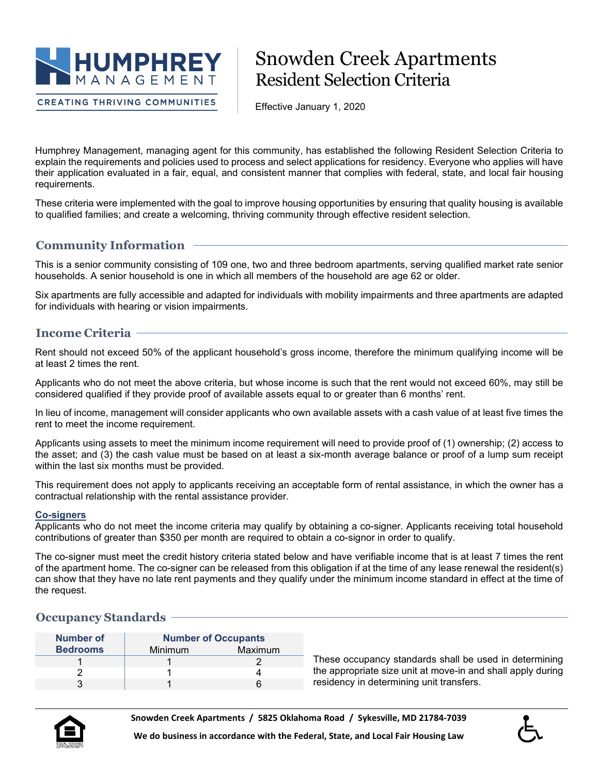

**CREATING THRIVING COMMUNITIES** 

# Snowden Creek Apartments Resident Selection Criteria

Effective January 1, 2020

Humphrey Management, managing agent for this community, has established the following Resident Selection Criteria to explain the requirements and policies used to process and select applications for residency. Everyone who applies will have their application evaluated in a fair, equal, and consistent manner that complies with federal, state, and local fair housing requirements.

These criteria were implemented with the goal to improve housing opportunities by ensuring that quality housing is available to qualified families; and create a welcoming, thriving community through effective resident selection.

# **Community Information**

This is a senior community consisting of 109 one, two and three bedroom apartments, serving qualified market rate senior households. A senior household is one in which all members of the household are age 62 or older.

Six apartments are fully accessible and adapted for individuals with mobility impairments and three apartments are adapted for individuals with hearing or vision impairments.

# **Income Criteria**

Rent should not exceed 50% of the applicant household's gross income, therefore the minimum qualifying income will be at least 2 times the rent.

Applicants who do not meet the above criteria, but whose income is such that the rent would not exceed 60%, may still be considered qualified if they provide proof of available assets equal to or greater than 6 months' rent.

In lieu of income, management will consider applicants who own available assets with a cash value of at least five times the rent to meet the income requirement.

Applicants using assets to meet the minimum income requirement will need to provide proof of (1) ownership; (2) access to the asset; and (3) the cash value must be based on at least a six-month average balance or proof of a lump sum receipt within the last six months must be provided.

This requirement does not apply to applicants receiving an acceptable form of rental assistance, in which the owner has a contractual relationship with the rental assistance provider.

## **Co-signers**

Applicants who do not meet the income criteria may qualify by obtaining a co-signer. Applicants receiving total household contributions of greater than \$350 per month are required to obtain a co-signor in order to qualify.

The co-signer must meet the credit history criteria stated below and have verifiable income that is at least 7 times the rent of the apartment home. The co-signer can be released from this obligation if at the time of any lease renewal the resident(s) can show that they have no late rent payments and they qualify under the minimum income standard in effect at the time of the request.

## **Occupancy Standards**

| Number of       | <b>Number of Occupants</b> |         |
|-----------------|----------------------------|---------|
| <b>Bedrooms</b> | Minimum                    | Maximum |
|                 |                            |         |
|                 |                            |         |
|                 |                            |         |

These occupancy standards shall be used in determining the appropriate size unit at move-in and shall apply during residency in determining unit transfers.



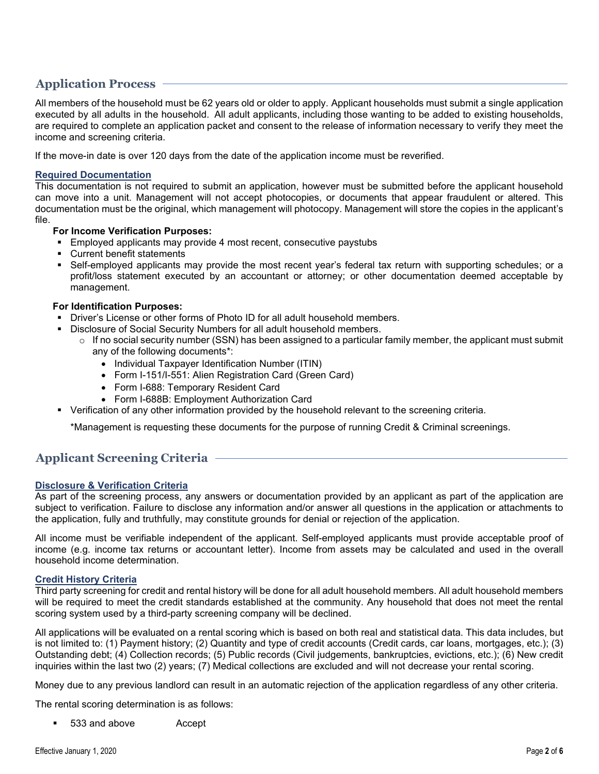# **Application Process**

All members of the household must be 62 years old or older to apply. Applicant households must submit a single application executed by all adults in the household. All adult applicants, including those wanting to be added to existing households, are required to complete an application packet and consent to the release of information necessary to verify they meet the income and screening criteria.

If the move-in date is over 120 days from the date of the application income must be reverified.

## **Required Documentation**

This documentation is not required to submit an application, however must be submitted before the applicant household can move into a unit. Management will not accept photocopies, or documents that appear fraudulent or altered. This documentation must be the original, which management will photocopy. Management will store the copies in the applicant's file.

## **For Income Verification Purposes:**

- **Employed applicants may provide 4 most recent, consecutive paystubs**
- Current benefit statements
- Self-employed applicants may provide the most recent year's federal tax return with supporting schedules; or a profit/loss statement executed by an accountant or attorney; or other documentation deemed acceptable by management.

## **For Identification Purposes:**

- Driver's License or other forms of Photo ID for all adult household members.
- Disclosure of Social Security Numbers for all adult household members.
	- $\circ$  If no social security number (SSN) has been assigned to a particular family member, the applicant must submit any of the following documents\*:
		- Individual Taxpayer Identification Number (ITIN)
		- Form I-151/I-551: Alien Registration Card (Green Card)
		- Form I-688: Temporary Resident Card
		- Form I-688B: Employment Authorization Card
- Verification of any other information provided by the household relevant to the screening criteria.

\*Management is requesting these documents for the purpose of running Credit & Criminal screenings.

## **Applicant Screening Criteria**

## **Disclosure & Verification Criteria**

As part of the screening process, any answers or documentation provided by an applicant as part of the application are subject to verification. Failure to disclose any information and/or answer all questions in the application or attachments to the application, fully and truthfully, may constitute grounds for denial or rejection of the application.

All income must be verifiable independent of the applicant. Self-employed applicants must provide acceptable proof of income (e.g. income tax returns or accountant letter). Income from assets may be calculated and used in the overall household income determination.

## **Credit History Criteria**

Third party screening for credit and rental history will be done for all adult household members. All adult household members will be required to meet the credit standards established at the community. Any household that does not meet the rental scoring system used by a third-party screening company will be declined.

All applications will be evaluated on a rental scoring which is based on both real and statistical data. This data includes, but is not limited to: (1) Payment history; (2) Quantity and type of credit accounts (Credit cards, car loans, mortgages, etc.); (3) Outstanding debt; (4) Collection records; (5) Public records (Civil judgements, bankruptcies, evictions, etc.); (6) New credit inquiries within the last two (2) years; (7) Medical collections are excluded and will not decrease your rental scoring.

Money due to any previous landlord can result in an automatic rejection of the application regardless of any other criteria.

The rental scoring determination is as follows:

533 and above **Accept**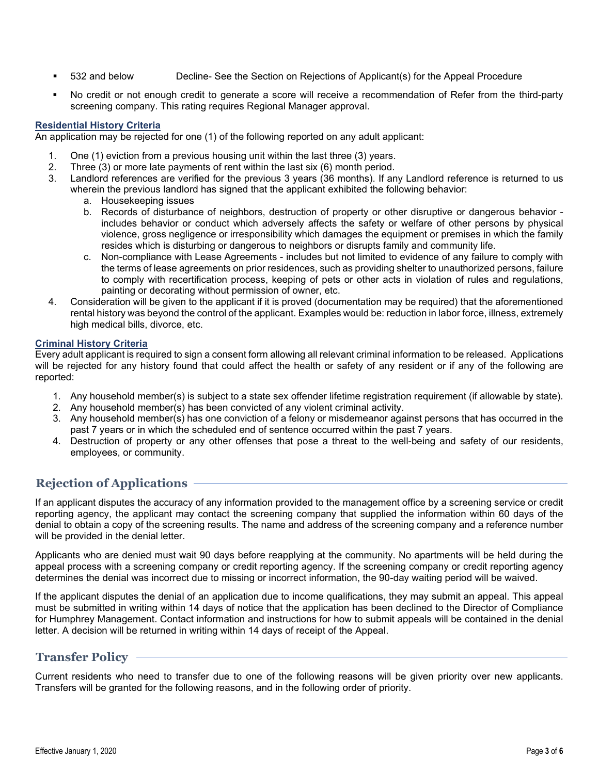- 532 and below Decline- See the Section on Rejections of Applicant(s) for the Appeal Procedure
- No credit or not enough credit to generate a score will receive a recommendation of Refer from the third-party screening company. This rating requires Regional Manager approval.

## **Residential History Criteria**

An application may be rejected for one (1) of the following reported on any adult applicant:

- 1. One (1) eviction from a previous housing unit within the last three (3) years.<br>2. Three (3) or more late payments of rent within the last six (6) month period.
- Three  $(3)$  or more late payments of rent within the last six  $(6)$  month period.
- 3. Landlord references are verified for the previous 3 years (36 months). If any Landlord reference is returned to us wherein the previous landlord has signed that the applicant exhibited the following behavior:
	- a. Housekeeping issues
	- b. Records of disturbance of neighbors, destruction of property or other disruptive or dangerous behavior includes behavior or conduct which adversely affects the safety or welfare of other persons by physical violence, gross negligence or irresponsibility which damages the equipment or premises in which the family resides which is disturbing or dangerous to neighbors or disrupts family and community life.
	- c. Non-compliance with Lease Agreements includes but not limited to evidence of any failure to comply with the terms of lease agreements on prior residences, such as providing shelter to unauthorized persons, failure to comply with recertification process, keeping of pets or other acts in violation of rules and regulations, painting or decorating without permission of owner, etc.
- 4. Consideration will be given to the applicant if it is proved (documentation may be required) that the aforementioned rental history was beyond the control of the applicant. Examples would be: reduction in labor force, illness, extremely high medical bills, divorce, etc.

## **Criminal History Criteria**

Every adult applicant is required to sign a consent form allowing all relevant criminal information to be released. Applications will be rejected for any history found that could affect the health or safety of any resident or if any of the following are reported:

- 1. Any household member(s) is subject to a state sex offender lifetime registration requirement (if allowable by state).
- 2. Any household member(s) has been convicted of any violent criminal activity.
- 3. Any household member(s) has one conviction of a felony or misdemeanor against persons that has occurred in the past 7 years or in which the scheduled end of sentence occurred within the past 7 years.
- 4. Destruction of property or any other offenses that pose a threat to the well-being and safety of our residents, employees, or community.

# **Rejection of Applications**

If an applicant disputes the accuracy of any information provided to the management office by a screening service or credit reporting agency, the applicant may contact the screening company that supplied the information within 60 days of the denial to obtain a copy of the screening results. The name and address of the screening company and a reference number will be provided in the denial letter.

Applicants who are denied must wait 90 days before reapplying at the community. No apartments will be held during the appeal process with a screening company or credit reporting agency. If the screening company or credit reporting agency determines the denial was incorrect due to missing or incorrect information, the 90-day waiting period will be waived.

If the applicant disputes the denial of an application due to income qualifications, they may submit an appeal. This appeal must be submitted in writing within 14 days of notice that the application has been declined to the Director of Compliance for Humphrey Management. Contact information and instructions for how to submit appeals will be contained in the denial letter. A decision will be returned in writing within 14 days of receipt of the Appeal.

## **Transfer Policy**

Current residents who need to transfer due to one of the following reasons will be given priority over new applicants. Transfers will be granted for the following reasons, and in the following order of priority.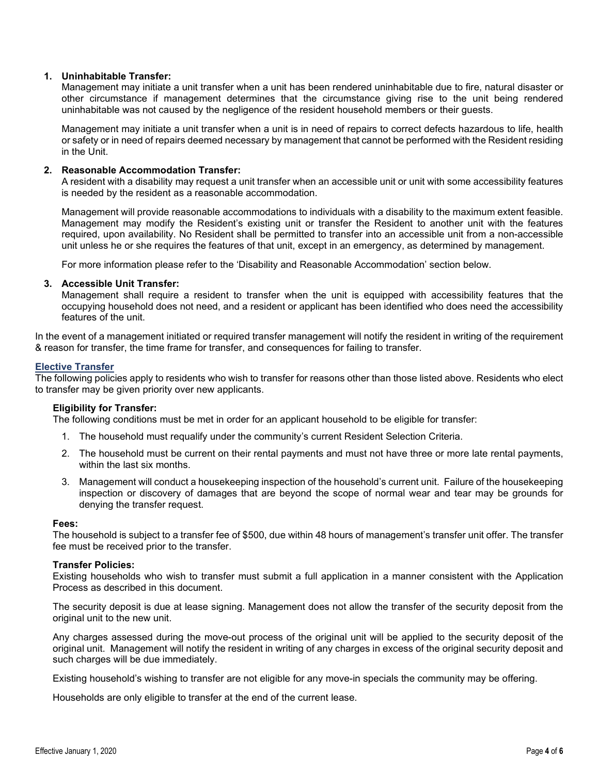## **1. Uninhabitable Transfer:**

Management may initiate a unit transfer when a unit has been rendered uninhabitable due to fire, natural disaster or other circumstance if management determines that the circumstance giving rise to the unit being rendered uninhabitable was not caused by the negligence of the resident household members or their guests.

Management may initiate a unit transfer when a unit is in need of repairs to correct defects hazardous to life, health or safety or in need of repairs deemed necessary by management that cannot be performed with the Resident residing in the Unit.

## **2. Reasonable Accommodation Transfer:**

A resident with a disability may request a unit transfer when an accessible unit or unit with some accessibility features is needed by the resident as a reasonable accommodation.

Management will provide reasonable accommodations to individuals with a disability to the maximum extent feasible. Management may modify the Resident's existing unit or transfer the Resident to another unit with the features required, upon availability. No Resident shall be permitted to transfer into an accessible unit from a non-accessible unit unless he or she requires the features of that unit, except in an emergency, as determined by management.

For more information please refer to the 'Disability and Reasonable Accommodation' section below.

## **3. Accessible Unit Transfer:**

Management shall require a resident to transfer when the unit is equipped with accessibility features that the occupying household does not need, and a resident or applicant has been identified who does need the accessibility features of the unit.

In the event of a management initiated or required transfer management will notify the resident in writing of the requirement & reason for transfer, the time frame for transfer, and consequences for failing to transfer.

#### **Elective Transfer**

The following policies apply to residents who wish to transfer for reasons other than those listed above. Residents who elect to transfer may be given priority over new applicants.

## **Eligibility for Transfer:**

The following conditions must be met in order for an applicant household to be eligible for transfer:

- 1. The household must requalify under the community's current Resident Selection Criteria.
- 2. The household must be current on their rental payments and must not have three or more late rental payments, within the last six months.
- 3. Management will conduct a housekeeping inspection of the household's current unit. Failure of the housekeeping inspection or discovery of damages that are beyond the scope of normal wear and tear may be grounds for denying the transfer request.

#### **Fees:**

The household is subject to a transfer fee of \$500, due within 48 hours of management's transfer unit offer. The transfer fee must be received prior to the transfer.

#### **Transfer Policies:**

Existing households who wish to transfer must submit a full application in a manner consistent with the Application Process as described in this document.

The security deposit is due at lease signing. Management does not allow the transfer of the security deposit from the original unit to the new unit.

Any charges assessed during the move-out process of the original unit will be applied to the security deposit of the original unit. Management will notify the resident in writing of any charges in excess of the original security deposit and such charges will be due immediately.

Existing household's wishing to transfer are not eligible for any move-in specials the community may be offering.

Households are only eligible to transfer at the end of the current lease.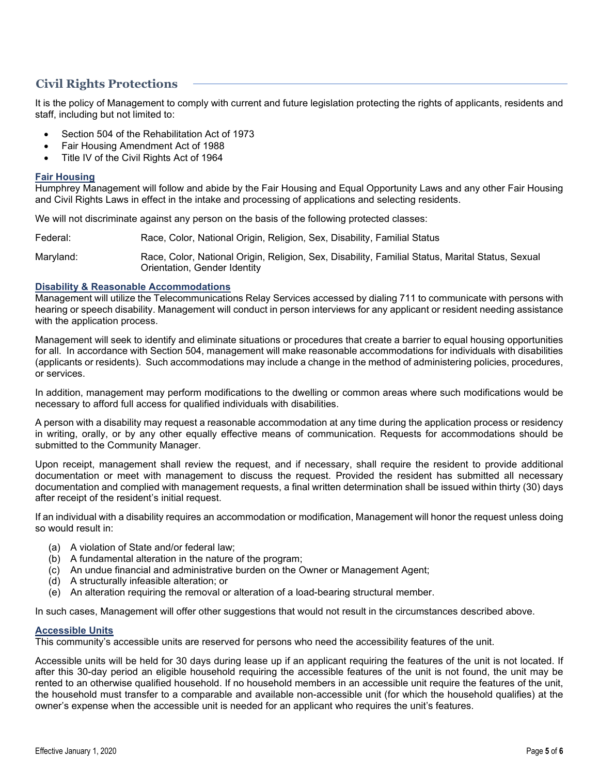# **Civil Rights Protections**

It is the policy of Management to comply with current and future legislation protecting the rights of applicants, residents and staff, including but not limited to:

- Section 504 of the Rehabilitation Act of 1973
- Fair Housing Amendment Act of 1988
- Title IV of the Civil Rights Act of 1964

## **Fair Housing**

Humphrey Management will follow and abide by the Fair Housing and Equal Opportunity Laws and any other Fair Housing and Civil Rights Laws in effect in the intake and processing of applications and selecting residents.

We will not discriminate against any person on the basis of the following protected classes:

Federal: Race, Color, National Origin, Religion, Sex, Disability, Familial Status

Maryland: Race, Color, National Origin, Religion, Sex, Disability, Familial Status, Marital Status, Sexual Orientation, Gender Identity

## **Disability & Reasonable Accommodations**

Management will utilize the Telecommunications Relay Services accessed by dialing 711 to communicate with persons with hearing or speech disability. Management will conduct in person interviews for any applicant or resident needing assistance with the application process.

Management will seek to identify and eliminate situations or procedures that create a barrier to equal housing opportunities for all. In accordance with Section 504, management will make reasonable accommodations for individuals with disabilities (applicants or residents). Such accommodations may include a change in the method of administering policies, procedures, or services.

In addition, management may perform modifications to the dwelling or common areas where such modifications would be necessary to afford full access for qualified individuals with disabilities.

A person with a disability may request a reasonable accommodation at any time during the application process or residency in writing, orally, or by any other equally effective means of communication. Requests for accommodations should be submitted to the Community Manager.

Upon receipt, management shall review the request, and if necessary, shall require the resident to provide additional documentation or meet with management to discuss the request. Provided the resident has submitted all necessary documentation and complied with management requests, a final written determination shall be issued within thirty (30) days after receipt of the resident's initial request.

If an individual with a disability requires an accommodation or modification, Management will honor the request unless doing so would result in:

- (a) A violation of State and/or federal law;
- (b) A fundamental alteration in the nature of the program;
- (c) An undue financial and administrative burden on the Owner or Management Agent;
- (d) A structurally infeasible alteration; or
- (e) An alteration requiring the removal or alteration of a load-bearing structural member.

In such cases, Management will offer other suggestions that would not result in the circumstances described above.

## **Accessible Units**

This community's accessible units are reserved for persons who need the accessibility features of the unit.

Accessible units will be held for 30 days during lease up if an applicant requiring the features of the unit is not located. If after this 30-day period an eligible household requiring the accessible features of the unit is not found, the unit may be rented to an otherwise qualified household. If no household members in an accessible unit require the features of the unit, the household must transfer to a comparable and available non-accessible unit (for which the household qualifies) at the owner's expense when the accessible unit is needed for an applicant who requires the unit's features.